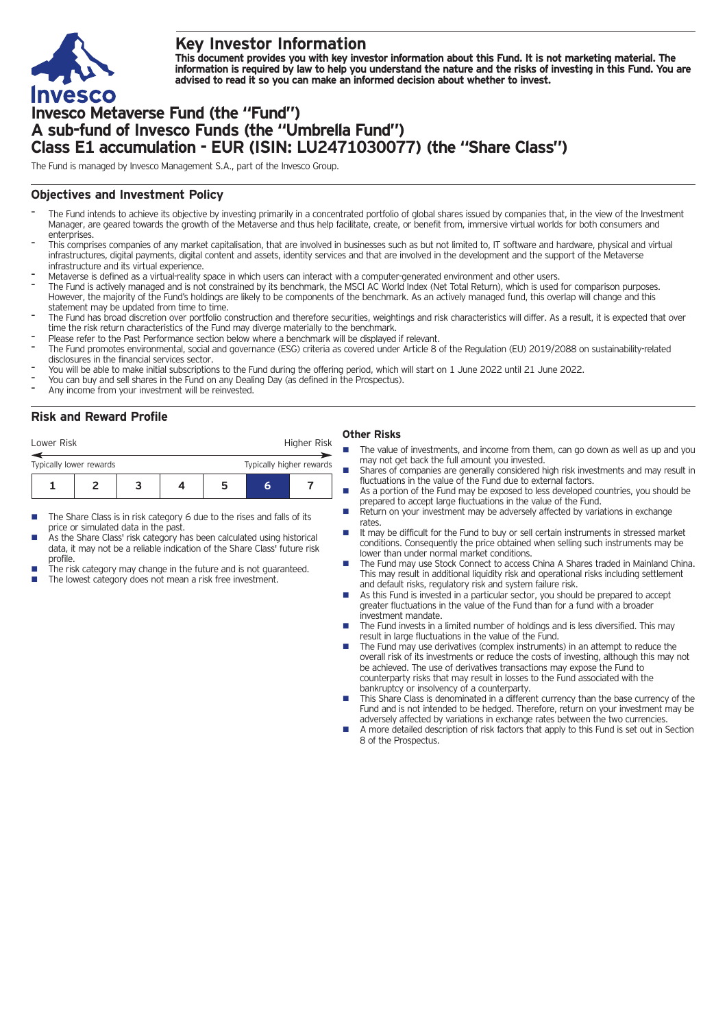

## **Key Investor Information**

This document provides you with key investor information about this Fund. It is not marketing material. The information is required by law to help you understand the nature and the risks of investing in this Fund. You are **advised to read it so you can make an informed decision about whether to invest.**

# **Invesco Metaverse Fund (the "Fund") A sub-fund of Invesco Funds (the "Umbrella Fund") Class E1 accumulation - EUR (ISIN: LU2471030077) (the "Share Class")**

The Fund is managed by Invesco Management S.A., part of the Invesco Group.

#### **Objectives and Investment Policy**

- The Fund intends to achieve its objective by investing primarily in a concentrated portfolio of global shares issued by companies that, in the view of the Investment Manager, are geared towards the growth of the Metaverse and thus help facilitate, create, or benefit from, immersive virtual worlds for both consumers and enterprises
- This comprises companies of any market capitalisation, that are involved in businesses such as but not limited to, IT software and hardware, physical and virtual infrastructures, digital payments, digital content and assets, identity services and that are involved in the development and the support of the Metaverse infrastructure and its virtual experience.
- Metaverse is defined as <sup>a</sup> virtual-reality space in which users can interact with <sup>a</sup> computer-generated environment and other users.
- The Fund is actively managed and is not constrained by its benchmark, the MSCI AC World Index (Net Total Return), which is used for comparison purposes. However, the majority of the Fund's holdings are likely to be components of the benchmark. As an actively managed fund, this overlap will change and this statement may be updated from time to time.
- The Fund has broad discretion over portfolio construction and therefore securities, weightings and risk characteristics will differ. As a result, it is expected that over time the risk return characteristics of the Fund may diverge materially to the benchmark.
- Please refer to the Past Performance section below where a benchmark will be displayed if relevant.
- The Fund promotes environmental, social and governance (ESG) criteria as covered under Article 8 of the Regulation (EU) 2019/2088 on sustainability-related disclosures in the financial services sector.
- You will be able to make initial subscriptions to the Fund during the offering period, which will start on <sup>1</sup> June <sup>2022</sup> until <sup>21</sup> June 2022.
- You can buy and sell shares in the Fund on any Dealing Day (as defined in the Prospectus).
- Any income from your investment will be reinvested.

### **Risk and Reward Profile**

| Lower Risk              |  | Higher Risk |   |                          |
|-------------------------|--|-------------|---|--------------------------|
| Typically lower rewards |  |             |   | Typically higher rewards |
|                         |  |             | h |                          |

- The Share Class is in risk category 6 due to the rises and falls of its price or simulated data in the past.
- As the Share Class' risk category has been calculated using historical data, it may not be a reliable indication of the Share Class' future risk profile.
- The risk category may change in the future and is not guaranteed.
- The lowest category does not mean a risk free investment.

#### **Other Risks**

- The value of investments, and income from them, can go down as well as up and you may not get back the full amount you invested.
- Shares of companies are generally considered high risk investments and may result in fluctuations in the value of the Fund due to external factors.
- As a portion of the Fund may be exposed to less developed countries, you should be prepared to accept large fluctuations in the value of the Fund.
- Return on your investment may be adversely affected by variations in exchange rates
- It may be difficult for the Fund to buy or sell certain instruments in stressed market conditions. Consequently the price obtained when selling such instruments may be lower than under normal market conditions.
- The Fund may use Stock Connect to access China A Shares traded in Mainland China. This may result in additional liquidity risk and operational risks including settlement and default risks, regulatory risk and system failure risk.
- As this Fund is invested in a particular sector, you should be prepared to accept greater fluctuations in the value of the Fund than for a fund with a broader investment mandate.
- The Fund invests in a limited number of holdings and is less diversified. This may result in large fluctuations in the value of the Fund.
- $\blacksquare$  The Fund may use derivatives (complex instruments) in an attempt to reduce the overall risk of its investments or reduce the costs of investing, although this may not be achieved. The use of derivatives transactions may expose the Fund to counterparty risks that may result in losses to the Fund associated with the bankruptcy or insolvency of a counterparty.
- This Share Class is denominated in a different currency than the base currency of the Fund and is not intended to be hedged. Therefore, return on your investment may be adversely affected by variations in exchange rates between the two currencies.
- n A more detailed description of risk factors that apply to this Fund is set out in Section 8 of the Prospectus.